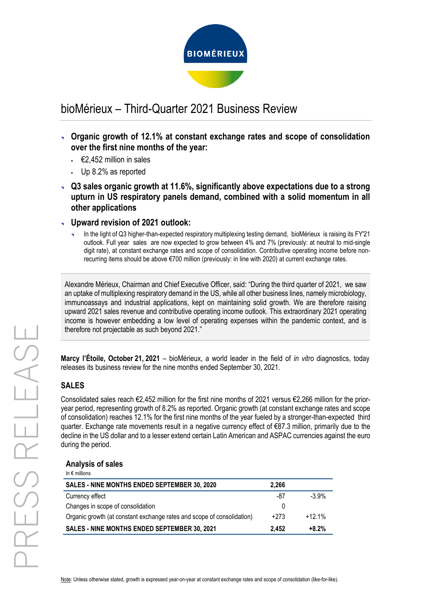

# bioMérieux – Third-Quarter 2021 Business Review

- **Organic growth of 12.1% at constant exchange rates and scope of consolidation over the first nine months of the year:**
	- $€2,452$  million in sales
	- Up 8.2% as reported
- **Q3 sales organic growth at 11.6%, significantly above expectations due to a strong upturn in US respiratory panels demand, combined with a solid momentum in all other applications**
- **Upward revision of 2021 outlook:**
	- In the light of Q3 higher-than-expected respiratory multiplexing testing demand, bioMérieux is raising its FY'21 outlook. Full year sales are now expected to grow between 4% and 7% (previously: at neutral to mid-single digit rate), at constant exchange rates and scope of consolidation. Contributive operating income before nonrecurring items should be above €700 million (previously: in line with 2020) at current exchange rates.

Alexandre Mérieux, Chairman and Chief Executive Officer, said: "During the third quarter of 2021, we saw an uptake of multiplexing respiratory demand in the US, while all other business lines, namely microbiology, immunoassays and industrial applications, kept on maintaining solid growth. We are therefore raising upward 2021 sales revenue and contributive operating income outlook. This extraordinary 2021 operating income is however embedding a low level of operating expenses within the pandemic context, and is therefore not projectable as such beyond 2021."

**Marcy l'Étoile, October 21, 2021** – bioMérieux, a world leader in the field of *in vitro* diagnostics, today releases its business review for the nine months ended September 30, 2021.

# **SALES**

Consolidated sales reach €2,452 million for the first nine months of 2021 versus €2,266 million for the prioryear period, representing growth of 8.2% as reported. Organic growth (at constant exchange rates and scope of consolidation) reaches 12.1% for the first nine months of the year fueled by a stronger-than-expected third quarter. Exchange rate movements result in a negative currency effect of €87.3 million, primarily due to the decline in the US dollar and to a lesser extend certain Latin American and ASPAC currencies against the euro during the period.

### **Analysis of sales**

|  |  | In $\epsilon$ millions |
|--|--|------------------------|
|  |  |                        |

| SALES - NINE MONTHS ENDED SEPTEMBER 30, 2020                           | 2.266  |          |
|------------------------------------------------------------------------|--------|----------|
| Currency effect                                                        | -87    | $-3.9\%$ |
| Changes in scope of consolidation                                      |        |          |
| Organic growth (at constant exchange rates and scope of consolidation) | $+273$ | $+12.1%$ |
| <b>SALES - NINE MONTHS ENDED SEPTEMBER 30, 2021</b>                    | 2.452  | $+8.2%$  |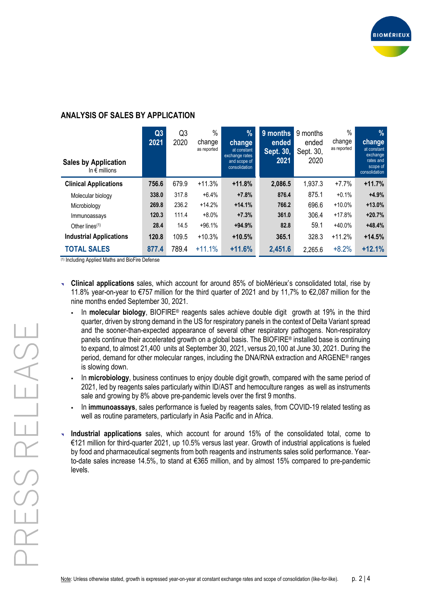

# **ANALYSIS OF SALES BY APPLICATION**

| <b>Sales by Application</b><br>In $\epsilon$ millions | Q3<br>2021 | Q3<br>2020 | $\%$<br>change<br>as reported | $\frac{9}{6}$<br>change<br>at constant<br>exchange rates<br>and scope of<br>consolidation | 9 months<br>ended<br>Sept. 30,<br>2021 | 9 months<br>ended<br>Sept. 30,<br>2020 | $\%$<br>change<br>as reported | $\frac{0}{0}$<br>change<br>at constant<br>exchange<br>rates and<br>scope of<br>consolidation |
|-------------------------------------------------------|------------|------------|-------------------------------|-------------------------------------------------------------------------------------------|----------------------------------------|----------------------------------------|-------------------------------|----------------------------------------------------------------------------------------------|
| <b>Clinical Applications</b>                          | 756.6      | 679.9      | $+11.3%$                      | $+11.8%$                                                                                  | 2,086.5                                | 1,937.3                                | $+7.7%$                       | $+11.7%$                                                                                     |
| Molecular biology                                     | 338.0      | 317.8      | $+6.4%$                       | $+7.8%$                                                                                   | 876.4                                  | 875.1                                  | $+0.1%$                       | $+4.9%$                                                                                      |
| Microbiology                                          | 269.8      | 236.2      | $+14.2%$                      | $+14.1%$                                                                                  | 766.2                                  | 696.6                                  | $+10.0%$                      | $+13.0%$                                                                                     |
| Immunoassays                                          | 120.3      | 111.4      | $+8.0%$                       | $+7.3%$                                                                                   | 361.0                                  | 306.4                                  | $+17.8%$                      | $+20.7%$                                                                                     |
| Other lines $(1)$                                     | 28.4       | 14.5       | $+96.1%$                      | $+94.9%$                                                                                  | 82.8                                   | 59.1                                   | $+40.0%$                      | $+48.4%$                                                                                     |
| <b>Industrial Applications</b>                        | 120.8      | 109.5      | $+10.3%$                      | $+10.5%$                                                                                  | 365.1                                  | 328.3                                  | $+11.2%$                      | $+14.5%$                                                                                     |
| <b>TOTAL SALES</b>                                    | 877.4      | 789.4      | $+11.1%$                      | $+11.6%$                                                                                  | 2,451.6                                | 2,265.6                                | $+8.2%$                       | $+12.1%$                                                                                     |

(1) Including Applied Maths and BioFire Defense

- **Clinical applications** sales, which account for around 85% of bioMérieux's consolidated total, rise by 11.8% year-on-year to €757 million for the third quarter of 2021 and by 11,7% to €2,087 million for the nine months ended September 30, 2021.
	- In **molecular biology**, BIOFIRE® reagents sales achieve double digit growth at 19% in the third quarter, driven by strong demand in the US for respiratory panels in the context of Delta Variant spread and the sooner-than-expected appearance of several other respiratory pathogens. Non-respiratory panels continue their accelerated growth on a global basis. The BIOFIRE® installed base is continuing to expand, to almost 21,400 units at September 30, 2021, versus 20,100 at June 30, 2021. During the period, demand for other molecular ranges, including the DNA/RNA extraction and ARGENE® ranges is slowing down.
	- In **microbiology**, business continues to enjoy double digit growth, compared with the same period of 2021, led by reagents sales particularly within ID/AST and hemoculture ranges as well as instruments sale and growing by 8% above pre-pandemic levels over the first 9 months.
	- In **immunoassays**, sales performance is fueled by reagents sales, from COVID-19 related testing as well as routine parameters, particularly in Asia Pacific and in Africa.
- **Industrial applications** sales, which account for around 15% of the consolidated total, come to €121 million for third-quarter 2021, up 10.5% versus last year. Growth of industrial applications is fueled by food and pharmaceutical segments from both reagents and instruments sales solid performance. Yearto-date sales increase 14.5%, to stand at €365 million, and by almost 15% compared to pre-pandemic levels.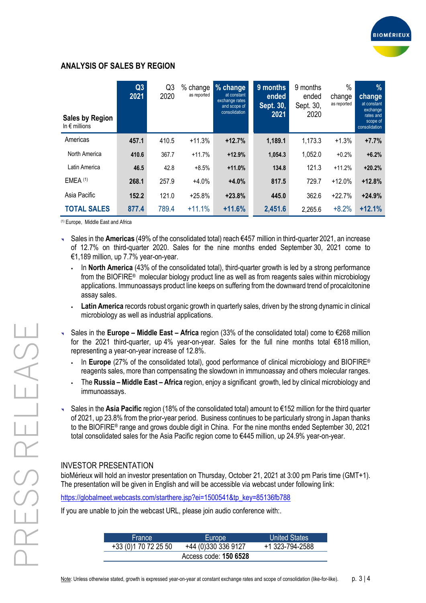

### **ANALYSIS OF SALES BY REGION**

| <b>Sales by Region</b><br>In $\epsilon$ millions | Q3<br>2021 | Q3<br>2020 | $%$ change<br>as reported | % change<br>at constant<br>exchange rates<br>and scope of<br>consolidation | 9 months<br>ended<br>Sept. 30,<br>2021 | 9 months<br>ended<br>Sept. 30,<br>2020 | $\frac{0}{0}$<br>change<br>as reported | $\frac{9}{6}$<br>change<br>at constant<br>exchange<br>rates and<br>scope of<br>consolidation |
|--------------------------------------------------|------------|------------|---------------------------|----------------------------------------------------------------------------|----------------------------------------|----------------------------------------|----------------------------------------|----------------------------------------------------------------------------------------------|
| Americas                                         | 457.1      | 410.5      | $+11.3%$                  | $+12.7%$                                                                   | 1,189.1                                | 1,173.3                                | $+1.3%$                                | $+7.7%$                                                                                      |
| North America                                    | 410.6      | 367.7      | $+11.7%$                  | $+12.9%$                                                                   | 1,054.3                                | 1,052.0                                | $+0.2%$                                | $+6.2%$                                                                                      |
| Latin America                                    | 46.5       | 42.8       | $+8.5%$                   | $+11.0%$                                                                   | 134.8                                  | 121.3                                  | $+11.2%$                               | $+20.2%$                                                                                     |
| $EMEA$ $(1)$                                     | 268.1      | 257.9      | $+4.0%$                   | $+4.0%$                                                                    | 817.5                                  | 729.7                                  | $+12.0%$                               | $+12.8%$                                                                                     |
| Asia Pacific                                     | 152.2      | 121.0      | $+25.8%$                  | $+23.8%$                                                                   | 445.0                                  | 362.6                                  | $+22.7%$                               | $+24.9%$                                                                                     |
| <b>TOTAL SALES</b>                               | 877.4      | 789.4      | $+11.1%$                  | $+11.6%$                                                                   | 2,451.6                                | 2,265.6                                | $+8.2%$                                | $+12.1%$                                                                                     |

(1) Europe, Middle East and Africa

- Sales in the **Americas** (49% of the consolidated total) reach €457 million in third-quarter 2021, an increase of 12.7% on third-quarter 2020. Sales for the nine months ended September 30, 2021 come to €1,189 million, up 7.7% year-on-year.
	- . In **North America** (43% of the consolidated total), third-quarter growth is led by a strong performance from the BIOFIRE® molecular biology product line as well as from reagents sales within microbiology applications. Immunoassays product line keeps on suffering from the downward trend of procalcitonine assay sales.
	- **Latin America** records robust organic growth in quarterly sales, driven by the strong dynamic in clinical microbiology as well as industrial applications.
- Sales in the **Europe – Middle East – Africa** region (33% of the consolidated total) come to €268 million for the 2021 third-quarter, up 4% year-on-year. Sales for the full nine months total €818 million, representing a year-on-year increase of 12.8%.
	- In **Europe** (27% of the consolidated total), good performance of clinical microbiology and BIOFIRE<sup>®</sup> reagents sales, more than compensating the slowdown in immunoassay and others molecular ranges.
	- The **Russia – Middle East – Africa** region, enjoy a significant growth, led by clinical microbiology and immunoassays.
- Sales in the **Asia Pacific** region (18% of the consolidated total) amount to €152 million for the third quarter of 2021, up 23.8% from the prior-year period. Business continues to be particularly strong in Japan thanks to the BIOFIRE® range and grows double digit in China. For the nine months ended September 30, 2021 total consolidated sales for the Asia Pacific region come to €445 million, up 24.9% year-on-year.

### INVESTOR PRESENTATION

bioMérieux will hold an investor presentation on Thursday, October 21, 2021 at 3:00 pm Paris time (GMT+1). The presentation will be given in English and will be accessible via webcast under following link:

[https://globalmeet.webcasts.com/starthere.jsp?ei=1500541&tp\\_key=85136fb788](https://globalmeet.webcasts.com/starthere.jsp?ei=1500541&tp_key=85136fb788)

If you are unable to join the webcast URL, please join audio conference with:.

| <b>France</b>                | Europe              | United States   |  |  |  |  |
|------------------------------|---------------------|-----------------|--|--|--|--|
| +33 (0) 1 70 72 25 50        | +44 (0)330 336 9127 | +1 323-794-2588 |  |  |  |  |
| Access code: <b>150 6528</b> |                     |                 |  |  |  |  |